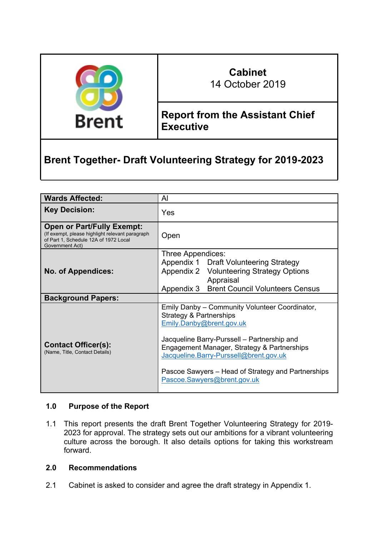

# **Cabinet**

14 October 2019

# **Report from the Assistant Chief Executive**

# **Brent Together- Draft Volunteering Strategy for 2019-2023**

| <b>Wards Affected:</b>                                                                                                                           | $\mathsf{A}$                                                                                                                                                                                                                                                                                                                       |
|--------------------------------------------------------------------------------------------------------------------------------------------------|------------------------------------------------------------------------------------------------------------------------------------------------------------------------------------------------------------------------------------------------------------------------------------------------------------------------------------|
| <b>Key Decision:</b>                                                                                                                             | Yes                                                                                                                                                                                                                                                                                                                                |
| <b>Open or Part/Fully Exempt:</b><br>(If exempt, please highlight relevant paragraph<br>of Part 1, Schedule 12A of 1972 Local<br>Government Act) | Open                                                                                                                                                                                                                                                                                                                               |
| <b>No. of Appendices:</b>                                                                                                                        | Three Appendices:<br>Appendix 1 Draft Volunteering Strategy<br>Appendix 2 Volunteering Strategy Options<br>Appraisal<br><b>Brent Council Volunteers Census</b><br>Appendix 3                                                                                                                                                       |
| <b>Background Papers:</b>                                                                                                                        |                                                                                                                                                                                                                                                                                                                                    |
| <b>Contact Officer(s):</b><br>(Name, Title, Contact Details)                                                                                     | Emily Danby - Community Volunteer Coordinator,<br>Strategy & Partnerships<br>Emily.Danby@brent.gov.uk<br>Jacqueline Barry-Purssell – Partnership and<br>Engagement Manager, Strategy & Partnerships<br>Jacqueline.Barry-Purssell@brent.gov.uk<br>Pascoe Sawyers – Head of Strategy and Partnerships<br>Pascoe.Sawyers@brent.gov.uk |

# **1.0 Purpose of the Report**

1.1 This report presents the draft Brent Together Volunteering Strategy for 2019- 2023 for approval. The strategy sets out our ambitions for a vibrant volunteering culture across the borough. It also details options for taking this workstream forward.

## **2.0 Recommendations**

2.1 Cabinet is asked to consider and agree the draft strategy in Appendix 1.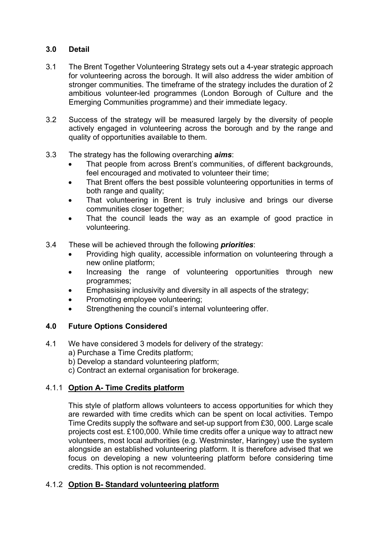# **3.0 Detail**

- 3.1 The Brent Together Volunteering Strategy sets out a 4-year strategic approach for volunteering across the borough. It will also address the wider ambition of stronger communities. The timeframe of the strategy includes the duration of 2 ambitious volunteer-led programmes (London Borough of Culture and the Emerging Communities programme) and their immediate legacy.
- 3.2 Success of the strategy will be measured largely by the diversity of people actively engaged in volunteering across the borough and by the range and quality of opportunities available to them.
- 3.3 The strategy has the following overarching *aims*:
	- That people from across Brent's communities, of different backgrounds, feel encouraged and motivated to volunteer their time;
	- That Brent offers the best possible volunteering opportunities in terms of both range and quality;
	- That volunteering in Brent is truly inclusive and brings our diverse communities closer together;
	- That the council leads the way as an example of good practice in volunteering.
- 3.4 These will be achieved through the following *priorities*:
	- Providing high quality, accessible information on volunteering through a new online platform;
	- Increasing the range of volunteering opportunities through new programmes;
	- Emphasising inclusivity and diversity in all aspects of the strategy;
	- Promoting employee volunteering;
	- Strengthening the council's internal volunteering offer.

# **4.0 Future Options Considered**

- 4.1 We have considered 3 models for delivery of the strategy:
	- a) Purchase a Time Credits platform;
	- b) Develop a standard volunteering platform;
	- c) Contract an external organisation for brokerage.

# 4.1.1 **Option A- Time Credits platform**

This style of platform allows volunteers to access opportunities for which they are rewarded with time credits which can be spent on local activities. Tempo Time Credits supply the software and set-up support from £30, 000. Large scale projects cost est. £100,000. While time credits offer a unique way to attract new volunteers, most local authorities (e.g. Westminster, Haringey) use the system alongside an established volunteering platform. It is therefore advised that we focus on developing a new volunteering platform before considering time credits. This option is not recommended.

# 4.1.2 **Option B- Standard volunteering platform**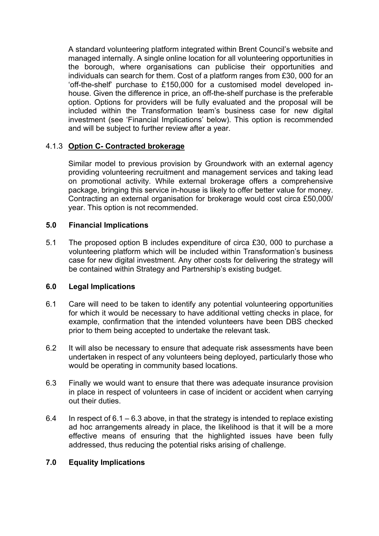A standard volunteering platform integrated within Brent Council's website and managed internally. A single online location for all volunteering opportunities in the borough, where organisations can publicise their opportunities and individuals can search for them. Cost of a platform ranges from £30, 000 for an 'off-the-shelf' purchase to £150,000 for a customised model developed inhouse. Given the difference in price, an off-the-shelf purchase is the preferable option. Options for providers will be fully evaluated and the proposal will be included within the Transformation team's business case for new digital investment (see 'Financial Implications' below). This option is recommended and will be subject to further review after a year.

## 4.1.3 **Option C- Contracted brokerage**

Similar model to previous provision by Groundwork with an external agency providing volunteering recruitment and management services and taking lead on promotional activity. While external brokerage offers a comprehensive package, bringing this service in-house is likely to offer better value for money. Contracting an external organisation for brokerage would cost circa £50,000/ year. This option is not recommended.

#### **5.0 Financial Implications**

5.1 The proposed option B includes expenditure of circa £30, 000 to purchase a volunteering platform which will be included within Transformation's business case for new digital investment. Any other costs for delivering the strategy will be contained within Strategy and Partnership's existing budget.

#### **6.0 Legal Implications**

- 6.1 Care will need to be taken to identify any potential volunteering opportunities for which it would be necessary to have additional vetting checks in place, for example, confirmation that the intended volunteers have been DBS checked prior to them being accepted to undertake the relevant task.
- 6.2 It will also be necessary to ensure that adequate risk assessments have been undertaken in respect of any volunteers being deployed, particularly those who would be operating in community based locations.
- 6.3 Finally we would want to ensure that there was adequate insurance provision in place in respect of volunteers in case of incident or accident when carrying out their duties.
- 6.4 In respect of 6.1 6.3 above, in that the strategy is intended to replace existing ad hoc arrangements already in place, the likelihood is that it will be a more effective means of ensuring that the highlighted issues have been fully addressed, thus reducing the potential risks arising of challenge.

#### **7.0 Equality Implications**